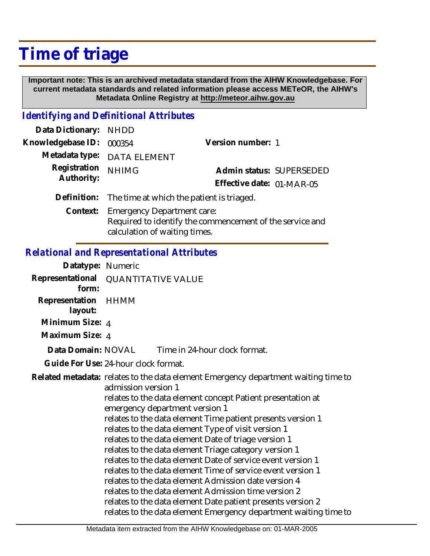## **Time of triage**

 **Important note: This is an archived metadata standard from the AIHW Knowledgebase. For current metadata standards and related information please access METeOR, the AIHW's Metadata Online Registry at http://meteor.aihw.gov.au**

## *Identifying and Definitional Attributes*

| Data Dictionary: NHDD |                                                                                               |                           |  |
|-----------------------|-----------------------------------------------------------------------------------------------|---------------------------|--|
| Knowledgebase ID:     | 000354                                                                                        | Version number: 1         |  |
|                       | Metadata type: DATA ELEMENT                                                                   |                           |  |
| Registration          | <b>NHIMG</b>                                                                                  | Admin status: SUPERSEDED  |  |
| Authority:            |                                                                                               | Effective date: 01-MAR-05 |  |
|                       | Definition: The time at which the patient is triaged.                                         |                           |  |
| Context:              | <b>Emergency Department care:</b><br>Required to identify the commencement of the service and |                           |  |

calculation of waiting times.

## *Relational and Representational Attributes*

| Datatype: Numeric         |                                                                                                                                                                                                                                                                                                                                                                                                                                                                                                                                                                                                                                                                                                                                                                                                                                    |                               |  |
|---------------------------|------------------------------------------------------------------------------------------------------------------------------------------------------------------------------------------------------------------------------------------------------------------------------------------------------------------------------------------------------------------------------------------------------------------------------------------------------------------------------------------------------------------------------------------------------------------------------------------------------------------------------------------------------------------------------------------------------------------------------------------------------------------------------------------------------------------------------------|-------------------------------|--|
| form:                     | Representational QUANTITATIVE VALUE                                                                                                                                                                                                                                                                                                                                                                                                                                                                                                                                                                                                                                                                                                                                                                                                |                               |  |
| Representation<br>layout: | HHMM                                                                                                                                                                                                                                                                                                                                                                                                                                                                                                                                                                                                                                                                                                                                                                                                                               |                               |  |
| Minimum Size: 4           |                                                                                                                                                                                                                                                                                                                                                                                                                                                                                                                                                                                                                                                                                                                                                                                                                                    |                               |  |
| Maximum Size: 4           |                                                                                                                                                                                                                                                                                                                                                                                                                                                                                                                                                                                                                                                                                                                                                                                                                                    |                               |  |
| Data Domain: NOVAL        |                                                                                                                                                                                                                                                                                                                                                                                                                                                                                                                                                                                                                                                                                                                                                                                                                                    | Time in 24-hour clock format. |  |
|                           | Guide For Use: 24-hour clock format.                                                                                                                                                                                                                                                                                                                                                                                                                                                                                                                                                                                                                                                                                                                                                                                               |                               |  |
|                           | Related metadata: relates to the data element Emergency department waiting time to<br>admission version 1<br>relates to the data element concept Patient presentation at<br>emergency department version 1<br>relates to the data element Time patient presents version 1<br>relates to the data element Type of visit version 1<br>relates to the data element Date of triage version 1<br>relates to the data element Triage category version 1<br>relates to the data element Date of service event version 1<br>relates to the data element Time of service event version 1<br>relates to the data element Admission date version 4<br>relates to the data element Admission time version 2<br>relates to the data element Date patient presents version 2<br>relates to the data element Emergency department waiting time to |                               |  |